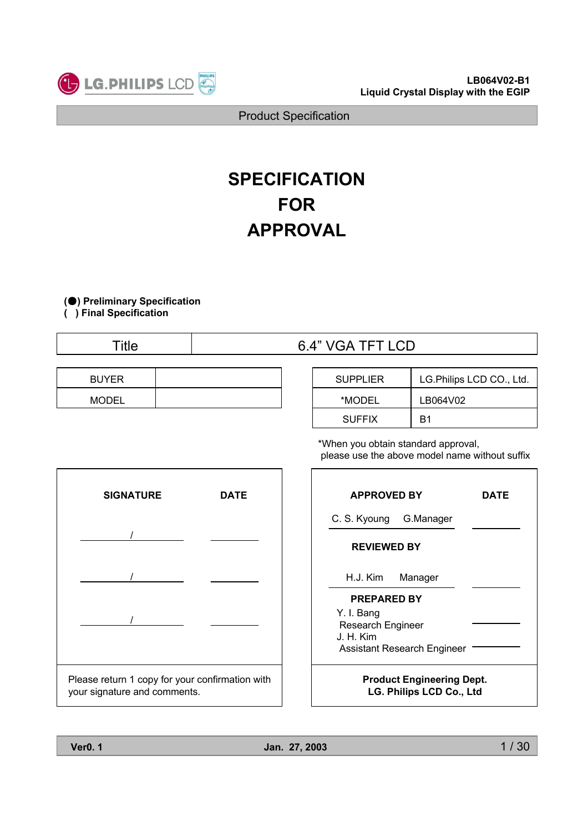

# **SPECIFICATION FOR APPROVAL**

**(**̻**) Preliminary Specification**

**( ) Final Specification**

| <b>Title</b> | TTTI<br>6.4"<br>- 1<br>LUD<br>. .<br>-<br>ັ້ |
|--------------|----------------------------------------------|
|              |                                              |

| <b>BUYER</b> |  |
|--------------|--|
| <b>MODEL</b> |  |

| <b>SUPPLIER</b> | LG. Philips LCD CO., Ltd. |  |  |  |
|-----------------|---------------------------|--|--|--|
| *MODEL          | LB064V02                  |  |  |  |
| <b>SUFFIX</b>   | R1                        |  |  |  |

\*When you obtain standard approval, please use the above model name without suffix



|                                                                     | <b>APPROVED BY</b>                         |         | DATE |  |  |
|---------------------------------------------------------------------|--------------------------------------------|---------|------|--|--|
|                                                                     | C. S. Kyoung<br>G.Manager                  |         |      |  |  |
|                                                                     | <b>REVIEWED BY</b>                         |         |      |  |  |
|                                                                     | H.J. Kim                                   | Manager |      |  |  |
|                                                                     | <b>PREPARED BY</b>                         |         |      |  |  |
|                                                                     | Y. I. Bang<br>Research Engineer<br>J H Kim |         |      |  |  |
| <b>Assistant Research Engineer</b>                                  |                                            |         |      |  |  |
| <b>Product Engineering Dept.</b><br><b>LG. Philips LCD Co., Ltd</b> |                                            |         |      |  |  |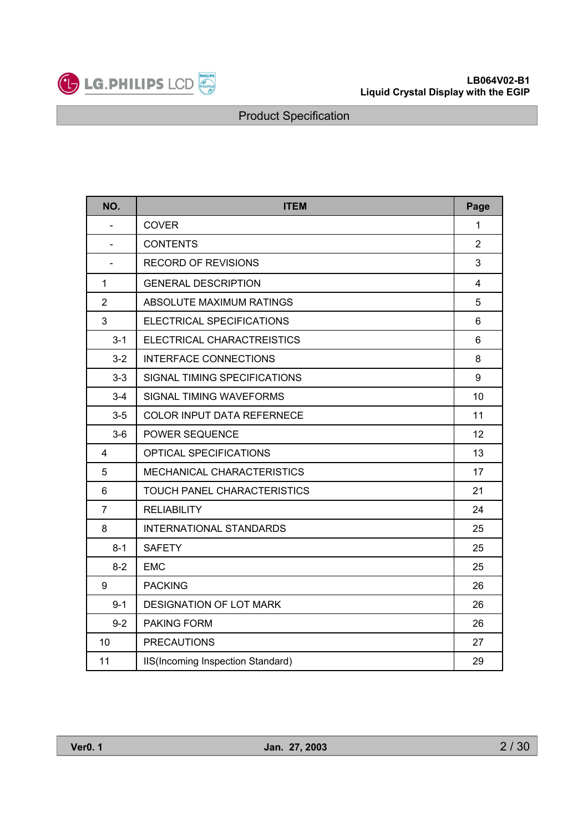

| NO.            | <b>ITEM</b>                        | Page           |
|----------------|------------------------------------|----------------|
|                | <b>COVER</b>                       | 1              |
| $\blacksquare$ | <b>CONTENTS</b>                    | $\overline{2}$ |
|                | <b>RECORD OF REVISIONS</b>         | 3              |
| 1              | <b>GENERAL DESCRIPTION</b>         | $\overline{4}$ |
| $\overline{2}$ | ABSOLUTE MAXIMUM RATINGS           | 5              |
| 3              | ELECTRICAL SPECIFICATIONS          | 6              |
| $3 - 1$        | ELECTRICAL CHARACTREISTICS         | 6              |
| $3 - 2$        | <b>INTERFACE CONNECTIONS</b>       | 8              |
| $3 - 3$        | SIGNAL TIMING SPECIFICATIONS       | 9              |
| $3 - 4$        | SIGNAL TIMING WAVEFORMS            | 10             |
| $3-5$          | COLOR INPUT DATA REFERNECE         | 11             |
| $3-6$          | POWER SEQUENCE                     | 12             |
| 4              | OPTICAL SPECIFICATIONS             | 13             |
| 5              | MECHANICAL CHARACTERISTICS         | 17             |
| 6              | <b>TOUCH PANEL CHARACTERISTICS</b> | 21             |
| $\overline{7}$ | <b>RELIABILITY</b>                 | 24             |
| 8              | <b>INTERNATIONAL STANDARDS</b>     | 25             |
| $8 - 1$        | <b>SAFETY</b>                      | 25             |
| $8 - 2$        | <b>EMC</b>                         | 25             |
| 9              | <b>PACKING</b>                     | 26             |
| $9 - 1$        | <b>DESIGNATION OF LOT MARK</b>     | 26             |
| $9 - 2$        | <b>PAKING FORM</b>                 | 26             |
| 10             | <b>PRECAUTIONS</b>                 | 27             |
| 11             | IIS(Incoming Inspection Standard)  | 29             |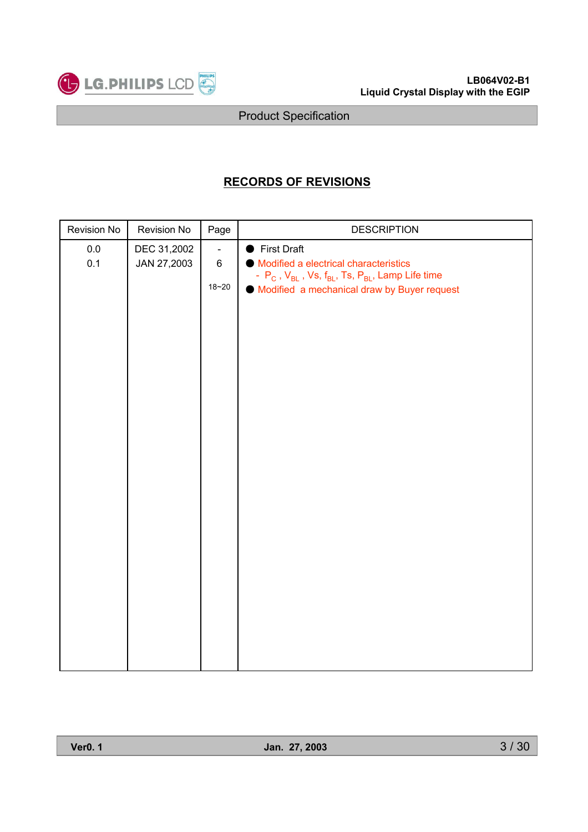

# **RECORDS OF REVISIONS**

| Revision No    | Revision No                | Page                                   | <b>DESCRIPTION</b>                                                                                                                                                         |
|----------------|----------------------------|----------------------------------------|----------------------------------------------------------------------------------------------------------------------------------------------------------------------------|
| $0.0\,$<br>0.1 | DEC 31,2002<br>JAN 27,2003 | $\blacksquare$<br>$\,6\,$<br>$18 - 20$ | First Draft<br>Modified a electrical characteristics<br>- $P_C$ , $V_{BL}$ , Vs, $f_{BL}$ , Ts, $P_{BL}$ , Lamp Life time<br>● Modified a mechanical draw by Buyer request |
|                |                            |                                        |                                                                                                                                                                            |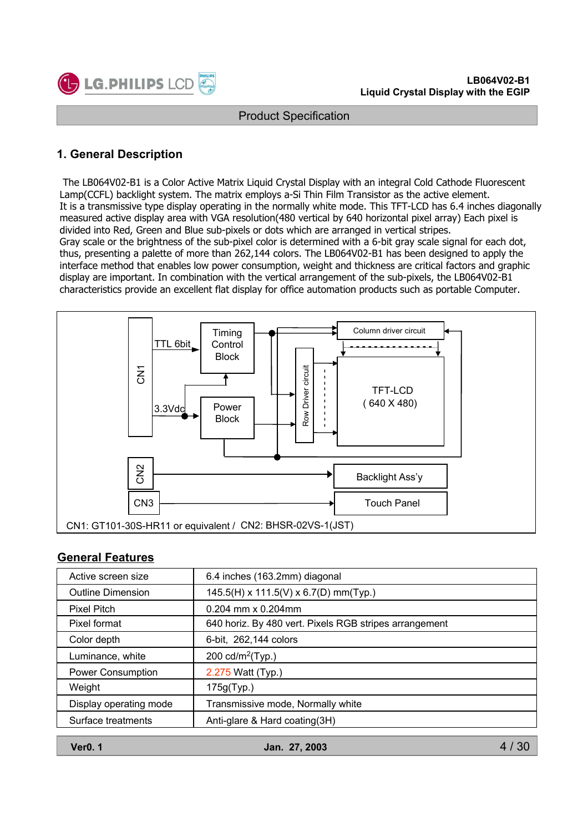

### **1. General Description**

The LB064V02-B1 is a Color Active Matrix Liquid Crystal Display with an integral Cold Cathode Fluorescent Lamp(CCFL) backlight system. The matrix employs a-Si Thin Film Transistor as the active element. It is a transmissive type display operating in the normally white mode. This TFT-LCD has 6.4 inches diagonally measured active display area with VGA resolution(480 vertical by 640 horizontal pixel array) Each pixel is divided into Red, Green and Blue sub-pixels or dots which are arranged in vertical stripes. Gray scale or the brightness of the sub-pixel color is determined with a 6-bit gray scale signal for each dot, thus, presenting a palette of more than 262,144 colors. The LB064V02-B1 has been designed to apply the interface method that enables low power consumption, weight and thickness are critical factors and graphic display are important. In combination with the vertical arrangement of the sub-pixels, the LB064V02-B1 characteristics provide an excellent flat display for office automation products such as portable Computer.



#### **General Features**

| Active screen size       | 6.4 inches (163.2mm) diagonal                          |
|--------------------------|--------------------------------------------------------|
| <b>Outline Dimension</b> | 145.5(H) x 111.5(V) x 6.7(D) mm(Typ.)                  |
| Pixel Pitch              | $0.204$ mm x $0.204$ mm                                |
| Pixel format             | 640 horiz. By 480 vert. Pixels RGB stripes arrangement |
| Color depth              | 6-bit, 262,144 colors                                  |
| Luminance, white         | 200 cd/m <sup>2</sup> (Typ.)                           |
| <b>Power Consumption</b> | 2.275 Watt (Typ.)                                      |
| Weight                   | 175g(Typ.)                                             |
| Display operating mode   | Transmissive mode, Normally white                      |
| Surface treatments       | Anti-glare & Hard coating(3H)                          |

**Ver0. 1 Jan. 27, 2003**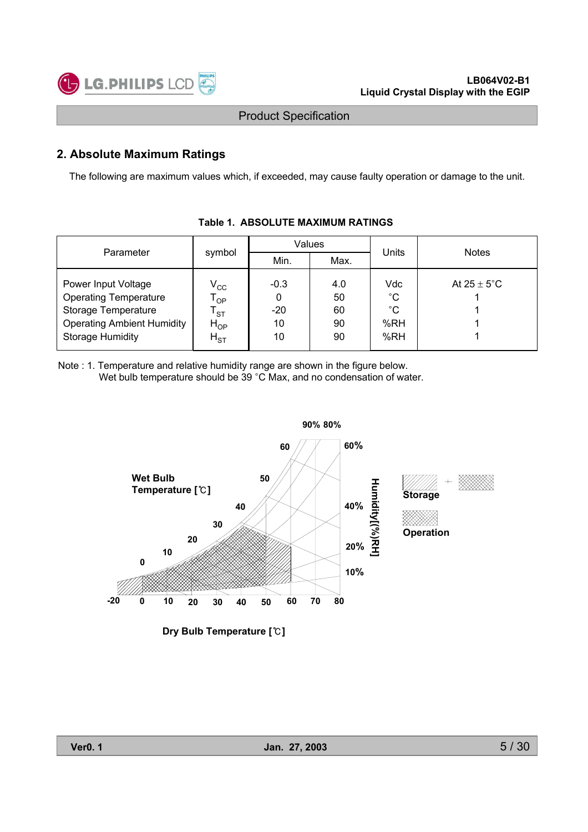

### **2. Absolute Maximum Ratings**

The following are maximum values which, if exceeded, may cause faulty operation or damage to the unit.

| Parameter                                                                                                                                  |                                                                                                                                                                  | Values |      | Units                                           | <b>Notes</b>            |  |
|--------------------------------------------------------------------------------------------------------------------------------------------|------------------------------------------------------------------------------------------------------------------------------------------------------------------|--------|------|-------------------------------------------------|-------------------------|--|
|                                                                                                                                            | symbol                                                                                                                                                           | Min.   | Max. |                                                 |                         |  |
| Power Input Voltage<br><b>Operating Temperature</b><br>Storage Temperature<br><b>Operating Ambient Humidity</b><br><b>Storage Humidity</b> | $V_{\rm CC}$<br>$-0.3$<br>4.0<br>50<br>$\mathsf{T}_{\mathsf{OP}}$<br>0<br>$-20$<br>60<br>$\mathsf{\tau}_{\textsf{ST}}$<br>10<br>90<br>$H_{OP}$<br>10<br>$H_{ST}$ |        | 90   | Vdc<br>$^{\circ}C$<br>$^{\circ}C$<br>%RH<br>%RH | At $25 \pm 5^{\circ}$ C |  |

#### **Table 1. ABSOLUTE MAXIMUM RATINGS**

Note : 1. Temperature and relative humidity range are shown in the figure below. Wet bulb temperature should be 39 °C Max, and no condensation of water.



**Dry Bulb Temperature []**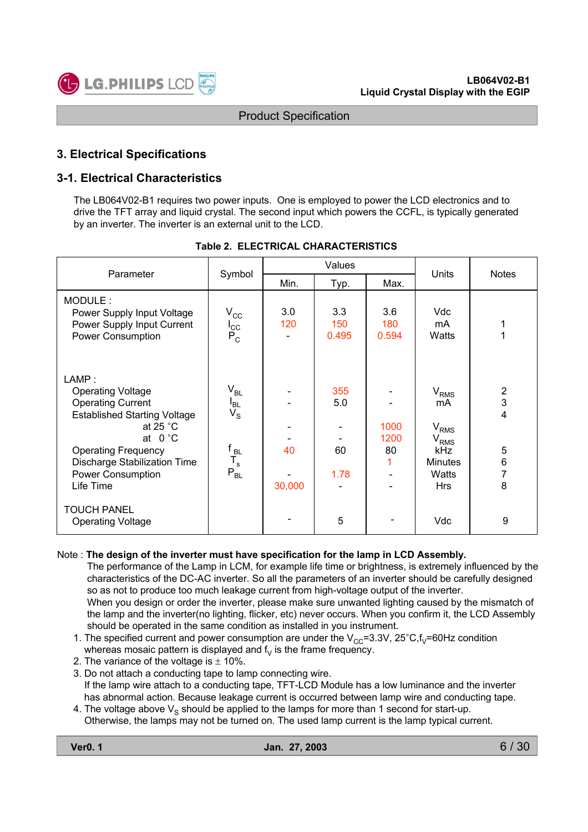

### **3. Electrical Specifications**

### **3-1. Electrical Characteristics**

The LB064V02-B1 requires two power inputs. One is employed to power the LCD electronics and to drive the TFT array and liquid crystal. The second input which powers the CCFL, is typically generated by an inverter. The inverter is an external unit to the LCD.

| Parameter                                                                                                                                                                                                                                            | Symbol                                                                                              | Values       |                          |                         | Units                                                                                                       | <b>Notes</b>                                                           |
|------------------------------------------------------------------------------------------------------------------------------------------------------------------------------------------------------------------------------------------------------|-----------------------------------------------------------------------------------------------------|--------------|--------------------------|-------------------------|-------------------------------------------------------------------------------------------------------------|------------------------------------------------------------------------|
|                                                                                                                                                                                                                                                      |                                                                                                     | Min.         | Typ.                     | Max.                    |                                                                                                             |                                                                        |
| MODULE:<br>Power Supply Input Voltage<br>Power Supply Input Current<br>Power Consumption                                                                                                                                                             | $V_{\rm CC}$<br>$I_{\rm CC}$<br>$P_C$                                                               | 3.0<br>120   | 3.3<br>150<br>0.495      | 3.6<br>180<br>0.594     | Vdc<br>mA<br>Watts                                                                                          | 1                                                                      |
| LAMP:<br><b>Operating Voltage</b><br><b>Operating Current</b><br><b>Established Starting Voltage</b><br>at 25 $°C$<br>at $0^{\circ}$ C<br><b>Operating Frequency</b><br><b>Discharge Stabilization Time</b><br><b>Power Consumption</b><br>Life Time | $\rm V_{BL}$<br>$I_{BL}$<br>$V_{\rm S}$<br>$\begin{bmatrix} f_{BL} \ T_s \end{bmatrix}$<br>$P_{BL}$ | 40<br>30,000 | 355<br>5.0<br>60<br>1.78 | 1000<br>1200<br>80<br>1 | V <sub>RMS</sub><br>mA<br>$\rm V_{RMS}$<br>V <sub>RMS</sub><br>kHz<br><b>Minutes</b><br>Watts<br><b>Hrs</b> | $\overline{\mathbf{c}}$<br>3<br>4<br>5<br>$\,6$<br>$\overline{7}$<br>8 |
| <b>TOUCH PANEL</b><br><b>Operating Voltage</b>                                                                                                                                                                                                       |                                                                                                     |              | 5                        |                         | Vdc                                                                                                         | 9                                                                      |

#### **Table 2. ELECTRICAL CHARACTERISTICS**

#### Note : **The design of the inverter must have specification for the lamp in LCD Assembly.**

The performance of the Lamp in LCM, for example life time or brightness, is extremely influenced by the characteristics of the DC-AC inverter. So all the parameters of an inverter should be carefully designed so as not to produce too much leakage current from high-voltage output of the inverter. When you design or order the inverter, please make sure unwanted lighting caused by the mismatch of the lamp and the inverter(no lighting, flicker, etc) never occurs. When you confirm it, the LCD Assembly should be operated in the same condition as installed in you instrument.

- 1. The specified current and power consumption are under the  $V_{CC}=3.3V$ , 25 $°C$ ,  $f_v=60Hz$  condition whereas mosaic pattern is displayed and  $f<sub>V</sub>$  is the frame frequency.
- 2. The variance of the voltage is  $\pm$  10%.
- 3. Do not attach a conducting tape to lamp connecting wire. If the lamp wire attach to a conducting tape, TFT-LCD Module has a low luminance and the inverter has abnormal action. Because leakage current is occurred between lamp wire and conducting tape.
- 4. The voltage above  $V_S$  should be applied to the lamps for more than 1 second for start-up. Otherwise, the lamps may not be turned on. The used lamp current is the lamp typical current.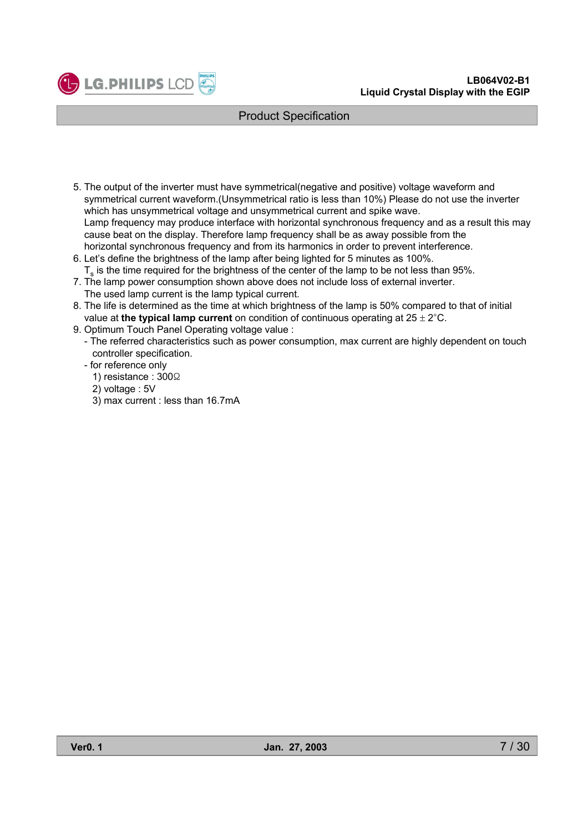



- 5. The output of the inverter must have symmetrical(negative and positive) voltage waveform and symmetrical current waveform.(Unsymmetrical ratio is less than 10%) Please do not use the inverter which has unsymmetrical voltage and unsymmetrical current and spike wave. Lamp frequency may produce interface with horizontal synchronous frequency and as a result this may cause beat on the display. Therefore lamp frequency shall be as away possible from the horizontal synchronous frequency and from its harmonics in order to prevent interference.
- 6. Let's define the brightness of the lamp after being lighted for 5 minutes as 100%.  $T<sub>s</sub>$  is the time required for the brightness of the center of the lamp to be not less than 95%.
- 7. The lamp power consumption shown above does not include loss of external inverter.
- The used lamp current is the lamp typical current.
- 8. The life is determined as the time at which brightness of the lamp is 50% compared to that of initial value at **the typical lamp current** on condition of continuous operating at  $25 \pm 2^{\circ}$ C.
- 9. Optimum Touch Panel Operating voltage value :
	- The referred characteristics such as power consumption, max current are highly dependent on touch controller specification.
	- for reference only
		- 1) resistance : 300 $\Omega$
		- 2) voltage : 5V
		- 3) max current : less than 16.7mA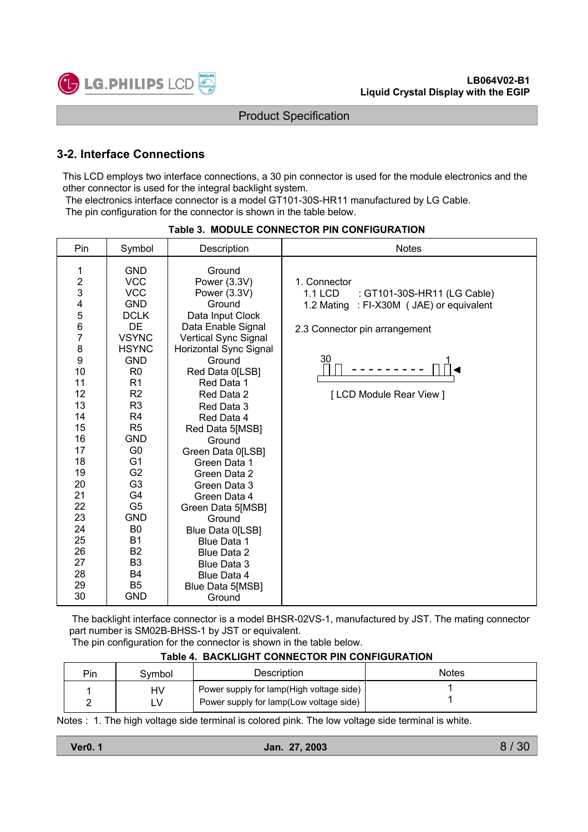

### **3-2. Interface Connections**

This LCD employs two interface connections, a 30 pin connector is used for the module electronics and the other connector is used for the integral backlight system.

The electronics interface connector is a model GT101-30S-HR11 manufactured by LG Cable.

The pin configuration for the connector is shown in the table below.

| Pin                                                                                                                                                                                                                  | Symbol                                                                                                                                                                                                                                                                                                                                                                                                                                                                     | Description                                                                                                                                                                                                                                                                                                                                                                                                                                                                                             | <b>Notes</b>                                                                                                                                                                   |
|----------------------------------------------------------------------------------------------------------------------------------------------------------------------------------------------------------------------|----------------------------------------------------------------------------------------------------------------------------------------------------------------------------------------------------------------------------------------------------------------------------------------------------------------------------------------------------------------------------------------------------------------------------------------------------------------------------|---------------------------------------------------------------------------------------------------------------------------------------------------------------------------------------------------------------------------------------------------------------------------------------------------------------------------------------------------------------------------------------------------------------------------------------------------------------------------------------------------------|--------------------------------------------------------------------------------------------------------------------------------------------------------------------------------|
| 1<br>$\overline{\mathbf{c}}$<br>3<br>4<br>5<br>$\,$ 6 $\,$<br>$\overline{7}$<br>8<br>9<br>10<br>11<br>12<br>13<br>14<br>15<br>16<br>17<br>18<br>19<br>20<br>21<br>22<br>23<br>24<br>25<br>26<br>27<br>28<br>29<br>30 | <b>GND</b><br><b>VCC</b><br><b>VCC</b><br><b>GND</b><br><b>DCLK</b><br><b>DE</b><br><b>VSYNC</b><br><b>HSYNC</b><br><b>GND</b><br>R <sub>0</sub><br>R <sub>1</sub><br>R <sub>2</sub><br>R <sub>3</sub><br>R <sub>4</sub><br>R <sub>5</sub><br><b>GND</b><br>G <sub>0</sub><br>G <sub>1</sub><br>G <sub>2</sub><br>G <sub>3</sub><br>G4<br>G <sub>5</sub><br><b>GND</b><br>B <sub>0</sub><br><b>B1</b><br><b>B2</b><br>B <sub>3</sub><br>B4<br>B <sub>5</sub><br><b>GND</b> | Ground<br>Power (3.3V)<br>Power (3.3V)<br>Ground<br>Data Input Clock<br>Data Enable Signal<br>Vertical Sync Signal<br>Horizontal Sync Signal<br>Ground<br>Red Data 0[LSB]<br>Red Data 1<br>Red Data 2<br>Red Data 3<br>Red Data 4<br>Red Data 5[MSB]<br>Ground<br>Green Data 0[LSB]<br>Green Data 1<br>Green Data 2<br>Green Data 3<br>Green Data 4<br>Green Data 5[MSB]<br>Ground<br>Blue Data 0[LSB]<br><b>Blue Data 1</b><br>Blue Data 2<br>Blue Data 3<br>Blue Data 4<br>Blue Data 5[MSB]<br>Ground | 1. Connector<br><b>1.1 LCD</b><br>: GT101-30S-HR11 (LG Cable)<br>1.2 Mating<br>: FI-X30M ( JAE) or equivalent<br>2.3 Connector pin arrangement<br>30<br>[LCD Module Rear View] |

#### **Table 3. MODULE CONNECTOR PIN CONFIGURATION**

The backlight interface connector is a model BHSR-02VS-1, manufactured by JST. The mating connector part number is SM02B-BHSS-1 by JST or equivalent.

The pin configuration for the connector is shown in the table below.

| ומטוס די שוטט ווויטט וטונגריטוניוטט ווויטראש |                                          |       |  |  |  |  |
|----------------------------------------------|------------------------------------------|-------|--|--|--|--|
| Symbol                                       | Description                              | Notes |  |  |  |  |
| H٧                                           | Power supply for lamp(High voltage side) |       |  |  |  |  |

### **Table 4. BACKLIGHT CONNECTOR PIN CONFIGURATION**

Notes : 1. The high voltage side terminal is colored pink. The low voltage side terminal is white.

Power supply for lamp(Low voltage side)

Pin 1 2

LV

1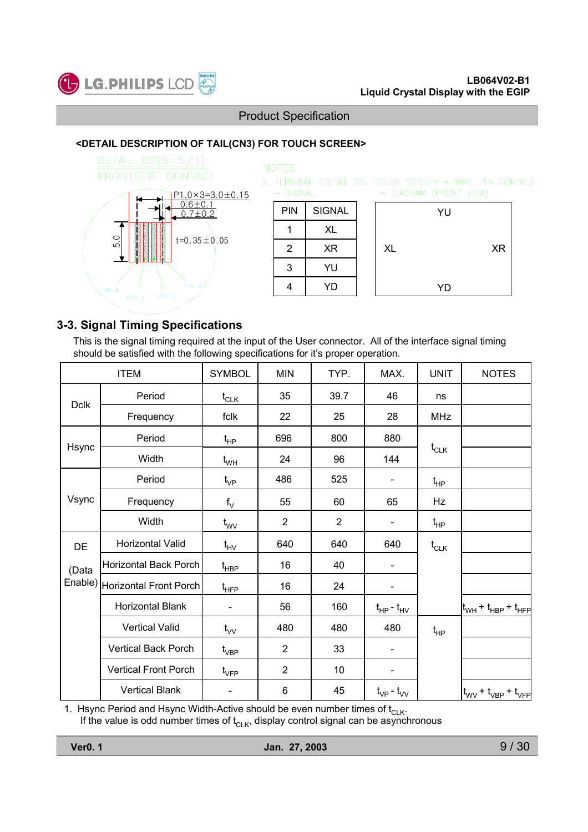

#### **<DETAIL DESCRIPTION OF TAIL(CN3) FOR TOUCH SCREEN>**



#### **NOTES** 2. TERMINAL (DETAIL CC, TOUCH SCREEN 4 WIRE PIN CONFIG.)  $-$  SIGNAL - DIAGRAM (FRONT VIEW) PIN SIGNAL YU 1 XL  $2 \mid XR$ XL XR 3 YU 4 YD YD

### **3-3. Signal Timing Specifications**

This is the signal timing required at the input of the User connector. All of the interface signal timing should be satisfied with the following specifications for it's proper operation.

| <b>ITEM</b> |                                  | <b>SYMBOL</b>                          | <b>MIN</b>     | TYP.           | MAX.                | <b>UNIT</b> | <b>NOTES</b>                                          |
|-------------|----------------------------------|----------------------------------------|----------------|----------------|---------------------|-------------|-------------------------------------------------------|
| <b>Dclk</b> | Period                           | $t_{CLK}$                              | 35             | 39.7           | 46                  | ns          |                                                       |
|             | Frequency                        | fclk                                   | 22             | 25             | 28                  | <b>MHz</b>  |                                                       |
|             | Period                           | $t_{HP}$                               | 696            | 800            | 880                 |             |                                                       |
| Hsync       | Width                            | $t_{WH}$                               | 24             | 96             | 144                 | $t_{CLK}$   |                                                       |
|             | Period                           | $t_{\mathsf{VP}}$                      | 486            | 525            |                     | $t_{HP}$    |                                                       |
| Vsync       | Frequency                        | $f_V$                                  | 55             | 60             | 65                  | Hz          |                                                       |
|             | Width                            | $t_{\text{wv}}$                        | $\overline{2}$ | $\overline{2}$ |                     | $t_{HP}$    |                                                       |
| DE          | Horizontal Valid                 | $t_{HV}$                               | 640            | 640            | 640                 | $t_{CLK}$   |                                                       |
| (Data       | Horizontal Back Porch            | t <sub>HBP</sub>                       | 16             | 40             |                     |             |                                                       |
|             | Enable)   Horizontal Front Porch | $\mathfrak{t}_{\mathsf{H}\mathsf{FP}}$ | 16             | 24             |                     |             |                                                       |
|             | Horizontal Blank                 |                                        | 56             | 160            | $t_{HP}$ - $t_{HV}$ |             | $ t_{\text{WH}} + t_{\text{HBP}} + t_{\text{HFP}} $   |
|             | <b>Vertical Valid</b>            | $t_{VV}$                               | 480            | 480            | 480                 | $t_{HP}$    |                                                       |
|             | <b>Vertical Back Porch</b>       | $\mathfrak{t}_{\mathsf{VBP}}$          | $\overline{2}$ | 33             |                     |             |                                                       |
|             | Vertical Front Porch             | $\mathfrak{t}_{\mathsf{VFP}}$          | $\overline{2}$ | 10             |                     |             |                                                       |
|             | <b>Vertical Blank</b>            |                                        | 6              | 45             | $t_{VP}$ - $t_{VV}$ |             | $t_{\text{WV}}$ + $t_{\text{VBP}}$ + $t_{\text{VFP}}$ |

1. Hsync Period and Hsync Width-Active should be even number times of  $t_{\text{CLK}}$ . If the value is odd number times of  $t_{\text{CLK}}$ , display control signal can be asynchronous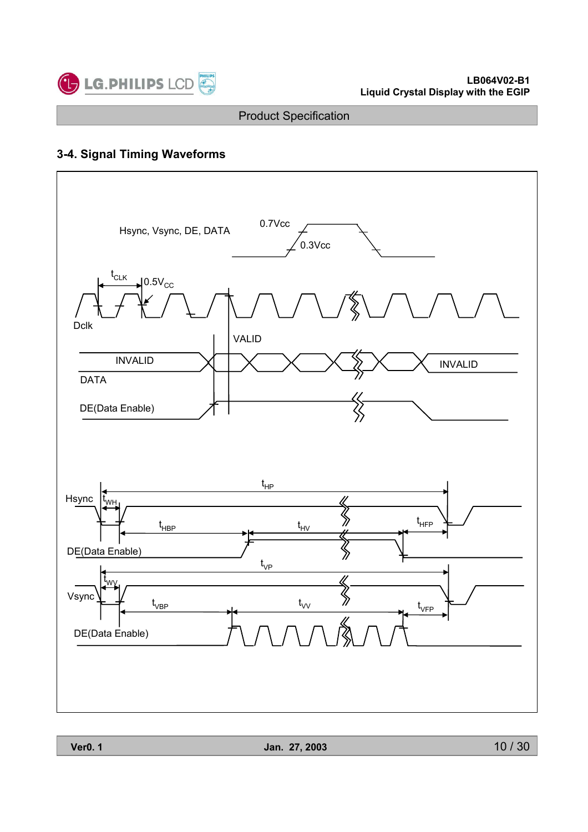

# **3-4. Signal Timing Waveforms**

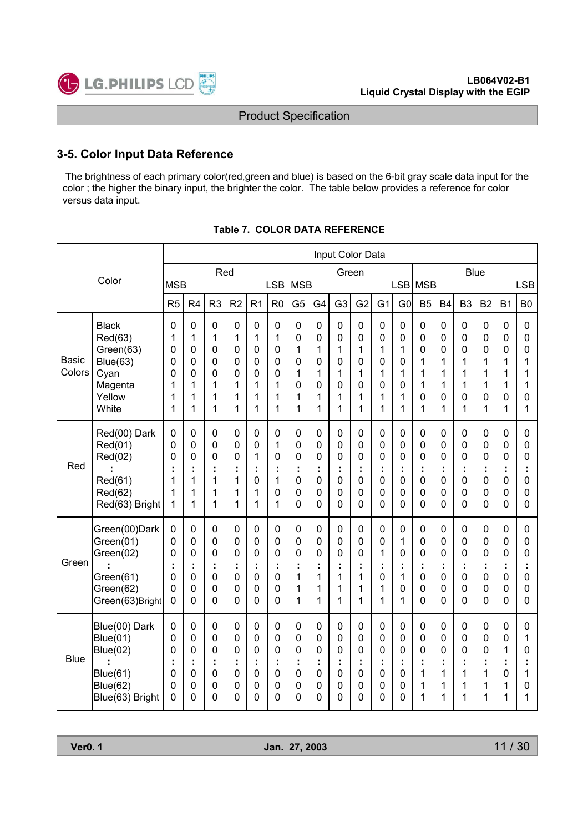

### **3-5. Color Input Data Reference**

The brightness of each primary color(red,green and blue) is based on the 6-bit gray scale data input for the color ; the higher the binary input, the brighter the color. The table below provides a reference for color versus data input.

|                 |                                                                                                       | Input Color Data                                    |                            |                                                               |                                              |                                                                         |                                                                                        |                                        |                                             |                                 |                                   |                                                                                              |                                                       |                                                                                     |                                                                                      |                                      |                                        |                                      |                                           |
|-----------------|-------------------------------------------------------------------------------------------------------|-----------------------------------------------------|----------------------------|---------------------------------------------------------------|----------------------------------------------|-------------------------------------------------------------------------|----------------------------------------------------------------------------------------|----------------------------------------|---------------------------------------------|---------------------------------|-----------------------------------|----------------------------------------------------------------------------------------------|-------------------------------------------------------|-------------------------------------------------------------------------------------|--------------------------------------------------------------------------------------|--------------------------------------|----------------------------------------|--------------------------------------|-------------------------------------------|
|                 | Color                                                                                                 |                                                     |                            | Red                                                           |                                              |                                                                         |                                                                                        |                                        |                                             | Green                           |                                   |                                                                                              |                                                       |                                                                                     |                                                                                      |                                      | <b>Blue</b>                            |                                      |                                           |
|                 |                                                                                                       | <b>MSB</b>                                          |                            |                                                               |                                              |                                                                         | LSB                                                                                    | <b>MSB</b>                             |                                             |                                 |                                   |                                                                                              |                                                       | LSB   MSB                                                                           |                                                                                      |                                      |                                        |                                      | <b>LSB</b>                                |
|                 |                                                                                                       | R <sub>5</sub>                                      | R <sub>4</sub>             | R <sub>3</sub>                                                | R <sub>2</sub>                               | R <sub>1</sub>                                                          | R <sub>0</sub>                                                                         | G <sub>5</sub>                         | G <sub>4</sub>                              | G <sub>3</sub>                  | G <sub>2</sub>                    | G <sub>1</sub>                                                                               | G <sub>0</sub>                                        | B <sub>5</sub>                                                                      | B <sub>4</sub>                                                                       | B <sub>3</sub>                       | B <sub>2</sub>                         | <b>B1</b>                            | B <sub>0</sub>                            |
| Basic<br>Colors | <b>Black</b><br>Red(63)<br>Green(63)<br><b>Blue(63)</b><br>Cyan<br>Magenta                            | $\mathbf 0$<br>1<br>0<br>0<br>0<br>1                | 0<br>1<br>0<br>0<br>0<br>1 | $\mathbf 0$<br>1<br>0<br>0<br>0<br>1                          | $\mathsf{O}\xspace$<br>1<br>0<br>0<br>0<br>1 | $\pmb{0}$<br>1<br>$\mathbf 0$<br>$\mathbf 0$<br>0<br>1                  | $\mathbf 0$<br>1<br>0<br>0<br>0<br>1                                                   | $\pmb{0}$<br>0<br>1<br>0<br>1<br>0     | $\pmb{0}$<br>0<br>1<br>0<br>1<br>0          | 0<br>0<br>1<br>0<br>1<br>0      | 0<br>0<br>1<br>0<br>1<br>0        | $\mathbf 0$<br>$\mathbf 0$<br>1<br>0<br>1<br>$\mathbf 0$                                     | $\pmb{0}$<br>0<br>1<br>0<br>1<br>0                    | $\pmb{0}$<br>$\mathbf 0$<br>0<br>1<br>1<br>1                                        | $\pmb{0}$<br>$\mathbf 0$<br>0<br>1<br>1<br>1                                         | $\mathbf 0$<br>0<br>0<br>1<br>1<br>1 | $\pmb{0}$<br>0<br>0<br>1<br>1<br>1     | $\mathbf 0$<br>0<br>0<br>1<br>1<br>1 | $\pmb{0}$<br>0<br>0<br>1<br>1<br>1        |
|                 | Yellow<br>White                                                                                       | 1<br>1                                              | 1<br>1                     | 1<br>1                                                        | 1<br>1                                       | 1<br>1                                                                  | 1<br>1                                                                                 | 1<br>1                                 | 1<br>1                                      | 1<br>1                          | 1<br>1                            | 1<br>1                                                                                       | 1<br>1                                                | 0<br>1                                                                              | 0<br>1                                                                               | 0<br>1                               | 0<br>1                                 | 0<br>1                               | 0<br>1                                    |
| Red             | Red(00) Dark<br>Red(01)<br>Red(02)<br>Red(61)<br>Red(62)<br>Red(63) Bright                            | $\mathbf 0$<br>0<br>0<br>t<br>1<br>1<br>1           | 0<br>0<br>0<br>1<br>1<br>1 | $\mathbf 0$<br>$\mathbf 0$<br>$\mathbf 0$<br>t<br>1<br>1<br>1 | 0<br>0<br>0<br>t<br>1<br>1<br>1              | $\mathbf 0$<br>0<br>1<br>t<br>0<br>1<br>1                               | $\mathbf 0$<br>1<br>$\mathbf 0$<br>÷<br>1<br>0<br>1                                    | 0<br>0<br>0<br>t<br>0<br>0<br>0        | $\mathbf 0$<br>0<br>0<br>0<br>0<br>$\Omega$ | 0<br>0<br>0<br>Ì<br>0<br>0<br>0 | 0<br>0<br>0<br>0<br>0<br>$\Omega$ | $\mathbf 0$<br>$\mathbf 0$<br>$\mathbf 0$<br>İ,<br>$\mathbf 0$<br>$\mathbf 0$<br>$\mathbf 0$ | $\mathbf 0$<br>0<br>0<br>$\mathbf 0$<br>0<br>$\Omega$ | $\mathbf 0$<br>$\mathbf 0$<br>$\mathbf 0$<br>$\mathbf 0$<br>$\mathbf 0$<br>$\Omega$ | $\mathbf 0$<br>$\mathbf 0$<br>$\mathbf 0$<br>t<br>$\mathbf 0$<br>0<br>$\overline{0}$ | 0<br>0<br>0<br>0<br>0<br>$\Omega$    | 0<br>0<br>0<br>t<br>0<br>0<br>$\Omega$ | 0<br>0<br>0<br>0<br>0<br>0           | $\mathbf 0$<br>0<br>0<br>Ì<br>0<br>0<br>0 |
| Green           | Green(00)Dark<br>Green(01)<br>Green(02)<br>Green(61)<br>Green(62)<br>Green(63)Bright                  | $\mathbf 0$<br>0<br>0<br>t<br>0<br>0<br>$\mathbf 0$ | 0<br>0<br>0<br>0<br>0<br>0 | $\mathbf 0$<br>0<br>0<br>t<br>0<br>0<br>0                     | 0<br>0<br>0<br>t<br>0<br>0<br>0              | 0<br>$\mathbf 0$<br>$\mathbf 0$<br>t<br>$\mathbf 0$<br>$\mathbf 0$<br>0 | $\mathbf 0$<br>$\mathbf 0$<br>$\mathbf 0$<br>$\mathbf 0$<br>$\mathbf 0$<br>$\mathbf 0$ | 0<br>0<br>0<br>t<br>1<br>1<br>1        | $\mathbf 0$<br>0<br>0<br>1<br>1<br>1        | 0<br>0<br>0<br>Ì<br>1<br>1<br>1 | 0<br>0<br>0<br>1<br>1<br>1        | $\mathbf 0$<br>$\mathbf 0$<br>1<br>÷<br>0<br>1<br>1                                          | $\mathbf 0$<br>1<br>0<br>1<br>0<br>1                  | $\mathbf 0$<br>$\mathbf 0$<br>0<br>0<br>0<br>$\Omega$                               | $\mathbf 0$<br>$\mathbf 0$<br>0<br>t<br>$\mathbf 0$<br>0<br>0                        | 0<br>0<br>0<br>0<br>0<br>$\Omega$    | 0<br>0<br>0<br>0<br>0<br>0             | $\mathbf 0$<br>0<br>0<br>0<br>0<br>0 | 0<br>0<br>0<br>t<br>0<br>0<br>0           |
| <b>Blue</b>     | Blue(00) Dark<br>Blue(01)<br><b>Blue(02)</b><br><b>Blue(61)</b><br><b>Blue(62)</b><br>Blue(63) Bright | 0<br>0<br>0<br>t<br>0<br>0<br>0                     | 0<br>0<br>0<br>0<br>0<br>0 | $\mathbf 0$<br>$\mathbf 0$<br>$\mathbf 0$<br>t<br>0<br>0<br>0 | 0<br>0<br>0<br>t<br>0<br>0<br>$\Omega$       | $\mathbf 0$<br>0<br>0<br>t<br>$\mathbf 0$<br>0<br>0                     | $\mathbf 0$<br>0<br>0<br>÷<br>$\mathbf 0$<br>0<br>$\mathbf 0$                          | 0<br>0<br>0<br>t<br>0<br>0<br>$\Omega$ | 0<br>0<br>0<br>0<br>0<br>0                  | 0<br>0<br>0<br>Ì<br>0<br>0<br>0 | 0<br>0<br>0<br>0<br>0<br>0        | $\mathbf 0$<br>$\mathbf 0$<br>$\mathbf 0$<br>÷<br>$\mathbf 0$<br>$\mathbf 0$<br>0            | $\mathbf 0$<br>0<br>0<br>0<br>0<br>0                  | $\mathbf 0$<br>0<br>$\mathbf 0$<br>1<br>1<br>1                                      | $\mathbf 0$<br>$\mathbf 0$<br>0<br>t<br>1<br>1<br>1                                  | 0<br>0<br>0<br>1<br>1<br>1           | 0<br>0<br>0<br>t<br>1<br>1<br>1        | 0<br>0<br>1<br>0<br>1<br>1           | 0<br>1<br>0<br>1<br>0<br>1                |

#### **Table 7. COLOR DATA REFERENCE**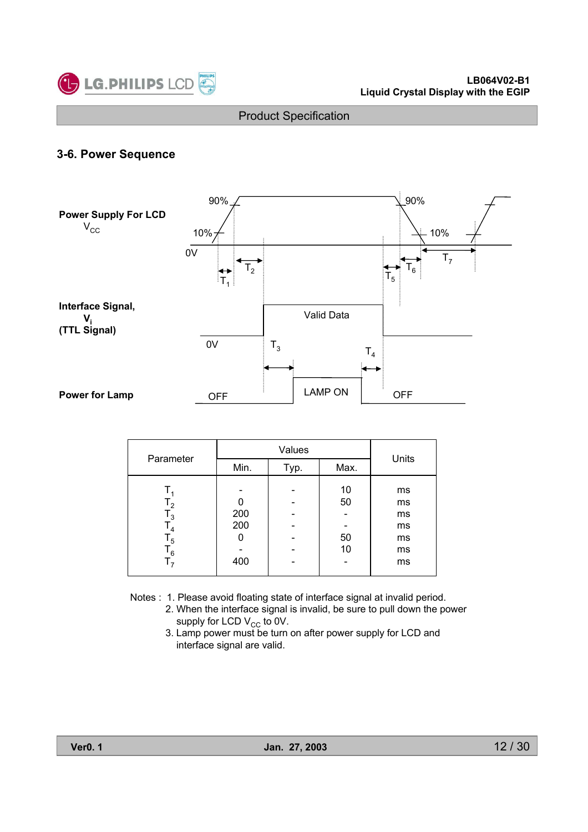

### **3-6. Power Sequence**



| Parameter                                                                |                   | Values |                      | Units                                  |  |
|--------------------------------------------------------------------------|-------------------|--------|----------------------|----------------------------------------|--|
|                                                                          | Min.              | Typ.   | Max.                 |                                        |  |
| $T_{2}$<br>$\mathsf{T}_3$<br>$T_{4}$<br>$\mathsf{T}_5$<br>$\mathsf{T}_6$ | 200<br>200<br>400 |        | 10<br>50<br>50<br>10 | ms<br>ms<br>ms<br>ms<br>ms<br>ms<br>ms |  |

- Notes : 1. Please avoid floating state of interface signal at invalid period.
	- 2. When the interface signal is invalid, be sure to pull down the power supply for LCD  $V_{CC}$  to 0V.
	- 3. Lamp power must be turn on after power supply for LCD and interface signal are valid.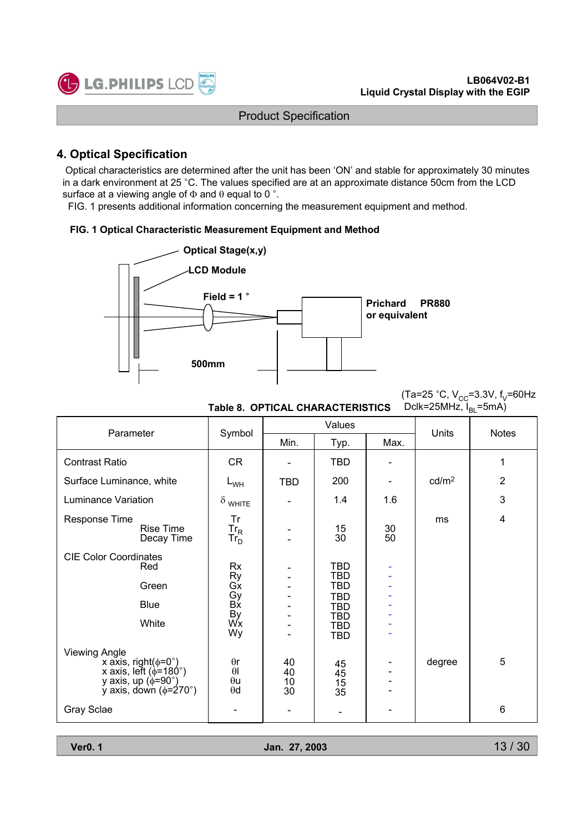

### **4. Optical Specification**

Optical characteristics are determined after the unit has been 'ON' and stable for approximately 30 minutes in a dark environment at 25 °C. The values specified are at an approximate distance 50cm from the LCD surface at a viewing angle of  $\Phi$  and  $\theta$  equal to 0 °.

FIG. 1 presents additional information concerning the measurement equipment and method.

#### **FIG. 1 Optical Characteristic Measurement Equipment and Method**



(Ta=25 °C,  $V_{CC}$ =3.3V, f<sub>V</sub>=60Hz Dclk=25MHz,  $I_{BI}$ =5mA)

| Parameter                                                                                                                                                 |                                                    |                      | Values                                                                                                       |          | Units             | <b>Notes</b>   |
|-----------------------------------------------------------------------------------------------------------------------------------------------------------|----------------------------------------------------|----------------------|--------------------------------------------------------------------------------------------------------------|----------|-------------------|----------------|
|                                                                                                                                                           | Symbol                                             | Min.                 | Typ.                                                                                                         | Max.     |                   |                |
| <b>Contrast Ratio</b>                                                                                                                                     | <b>CR</b>                                          |                      | <b>TBD</b>                                                                                                   |          |                   | 1              |
| Surface Luminance, white                                                                                                                                  | $L_{WH}$                                           | <b>TBD</b>           | 200                                                                                                          |          | cd/m <sup>2</sup> | $\overline{2}$ |
| <b>Luminance Variation</b>                                                                                                                                | $\delta$ white                                     |                      | 1.4                                                                                                          | 1.6      |                   | 3              |
| Response Time<br>Rise Time<br>Decay Time                                                                                                                  | Tr<br>$Tr_R$<br>Tr <sub>D</sub>                    |                      | 15<br>30                                                                                                     | 30<br>50 | ms                | 4              |
| <b>CIE Color Coordinates</b><br>Red<br>Green<br><b>Blue</b><br>White                                                                                      | Rx<br>Ry<br>Gx<br>Bx<br>Bx<br>By<br>Wx<br>Wy       |                      | <b>TBD</b><br><b>TBD</b><br><b>TBD</b><br><b>TBD</b><br><b>TBD</b><br><b>TBD</b><br><b>TBD</b><br><b>TBD</b> |          |                   |                |
| <b>Viewing Angle</b><br>x axis, right( $\phi$ =0°)<br>x axis, left ( $\phi$ =180°)<br>y axis, up $(\phi = 90^\circ)$<br>y axis, down $(\phi = 270^\circ)$ | $\theta$ r<br>$\theta$<br>$\theta$ u<br>$\theta$ d | 40<br>40<br>10<br>30 | 45<br>45<br>15<br>35                                                                                         |          | degree            | 5              |
| Gray Sclae                                                                                                                                                |                                                    |                      |                                                                                                              |          |                   | 6              |

**Table 8. OPTICAL CHARACTERISTICS**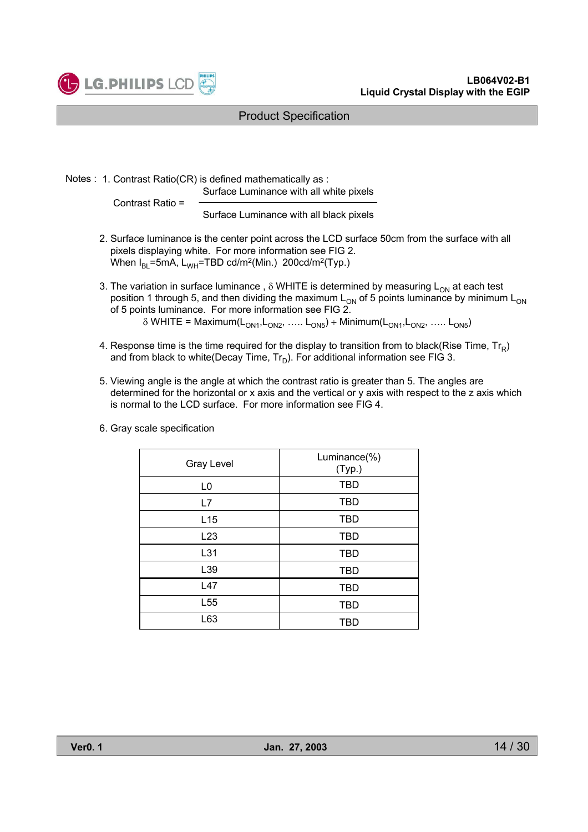

Notes : 1. Contrast Ratio(CR) is defined mathematically as : Surface Luminance with all white pixels

Contrast Ratio =

Surface Luminance with all black pixels

- 2. Surface luminance is the center point across the LCD surface 50cm from the surface with all pixels displaying white. For more information see FIG 2. When  $I_{BI}$ =5mA, L<sub>WH</sub>=TBD cd/m<sup>2</sup>(Min.) 200cd/m<sup>2</sup>(Typ.)
- 3. The variation in surface luminance,  $\delta$  WHITE is determined by measuring  $L_{ON}$  at each test position 1 through 5, and then dividing the maximum  $L_{ON}$  of 5 points luminance by minimum  $L_{ON}$ of 5 points luminance. For more information see FIG 2.  $\delta$  WHITE = Maximum(L<sub>ON1</sub>,L<sub>ON2</sub>, ….. L<sub>ON5</sub>) ÷ Minimum(L<sub>ON1</sub>,L<sub>ON2</sub>, ….. L<sub>ON5</sub>)
- 4. Response time is the time required for the display to transition from to black(Rise Time,  $Tr_R$ ) and from black to white(Decay Time,  $Tr_D$ ). For additional information see FIG 3.
- 5. Viewing angle is the angle at which the contrast ratio is greater than 5. The angles are determined for the horizontal or x axis and the vertical or y axis with respect to the z axis which is normal to the LCD surface. For more information see FIG 4.

| <b>Gray Level</b> | Luminance(%)<br>(Typ.) |
|-------------------|------------------------|
| L <sub>0</sub>    | <b>TBD</b>             |
| L7                | <b>TBD</b>             |
| L <sub>15</sub>   | <b>TBD</b>             |
| L23               | <b>TBD</b>             |
| L31               | <b>TBD</b>             |
| L39               | <b>TBD</b>             |
| L47               | <b>TBD</b>             |
| L <sub>55</sub>   | <b>TBD</b>             |
| L63               | TBD                    |

6. Gray scale specification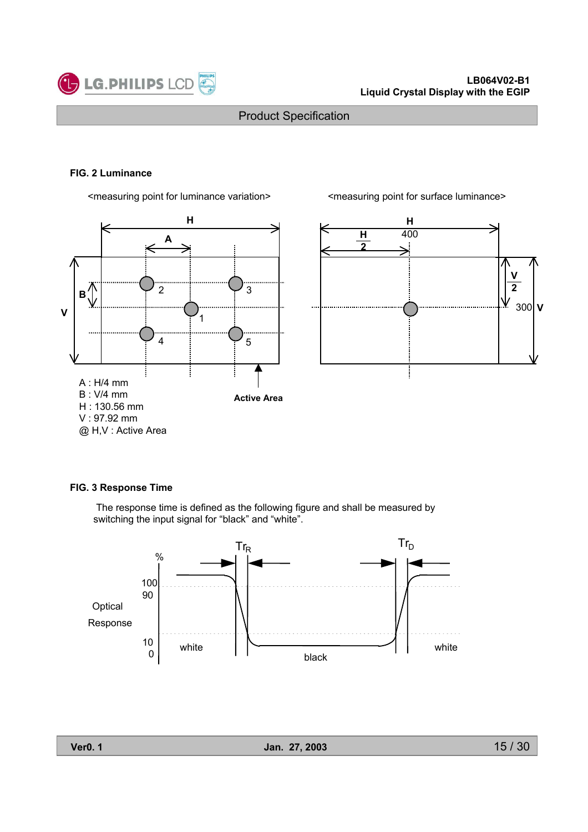

#### **FIG. 2 Luminance**



<measuring point for luminance variation> <measuring point for surface luminance>



#### **FIG. 3 Response Time**

The response time is defined as the following figure and shall be measured by switching the input signal for "black" and "white".

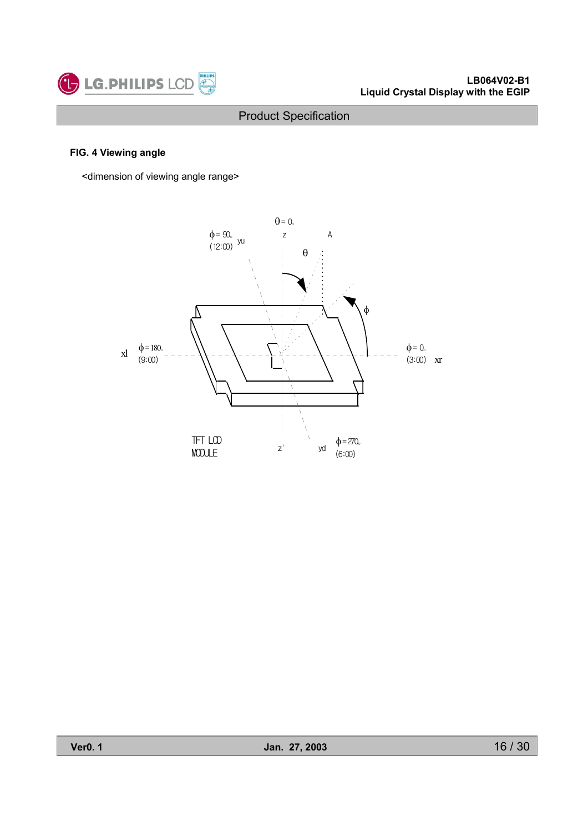

### **FIG. 4 Viewing angle**

<dimension of viewing angle range>

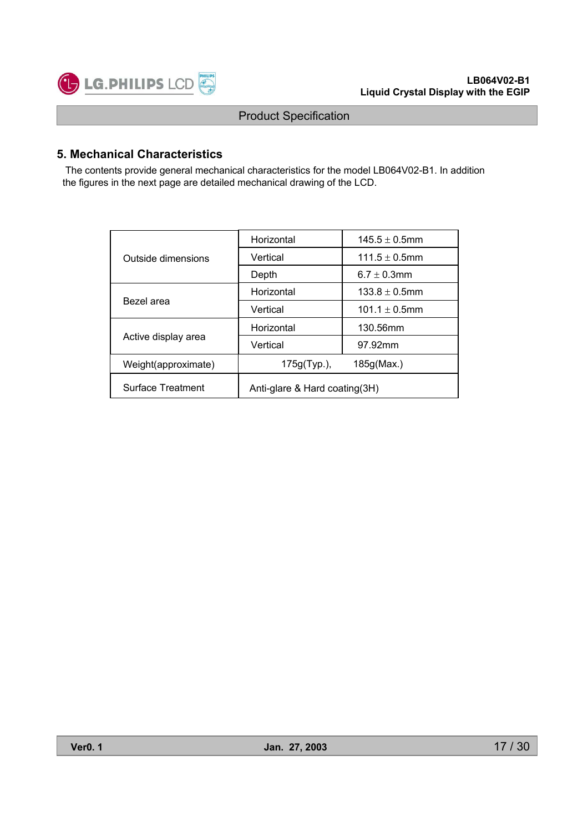

### **5. Mechanical Characteristics**

The contents provide general mechanical characteristics for the model LB064V02-B1. In addition the figures in the next page are detailed mechanical drawing of the LCD.

|                          | Horizontal                    | $145.5 \pm 0.5$ mm |  |  |  |  |
|--------------------------|-------------------------------|--------------------|--|--|--|--|
| Outside dimensions       | Vertical                      | $111.5 \pm 0.5$ mm |  |  |  |  |
|                          | Depth                         | 6.7 $\pm$ 0.3mm    |  |  |  |  |
|                          | Horizontal                    | $133.8 \pm 0.5$ mm |  |  |  |  |
| Bezel area               | Vertical                      | $101.1 \pm 0.5$ mm |  |  |  |  |
|                          | Horizontal                    | 130.56mm           |  |  |  |  |
| Active display area      | Vertical                      | 97.92mm            |  |  |  |  |
| Weight(approximate)      | 175g(Typ.),                   | 185g(Max.)         |  |  |  |  |
| <b>Surface Treatment</b> | Anti-glare & Hard coating(3H) |                    |  |  |  |  |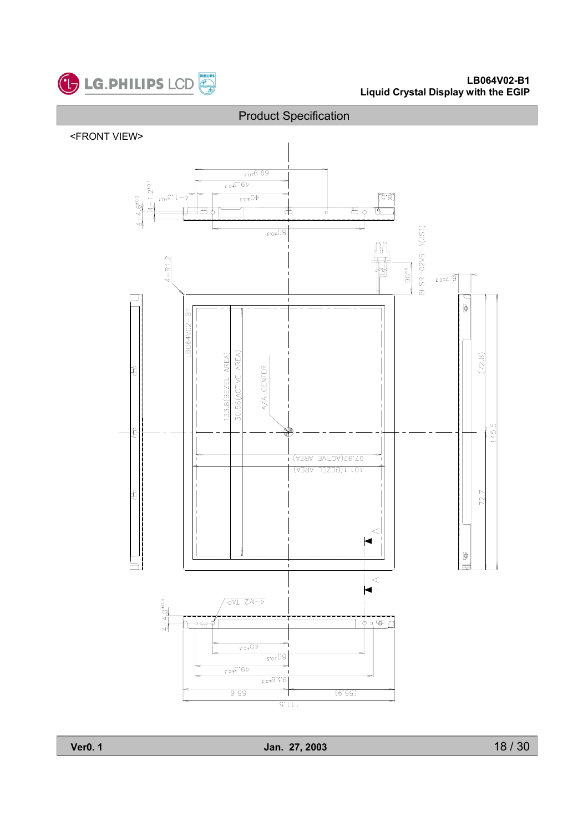

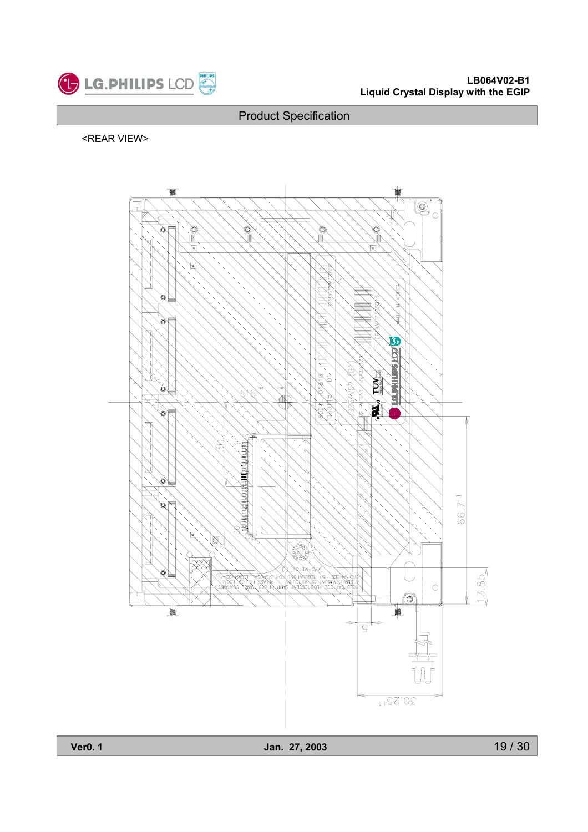

#### <REAR VIEW>

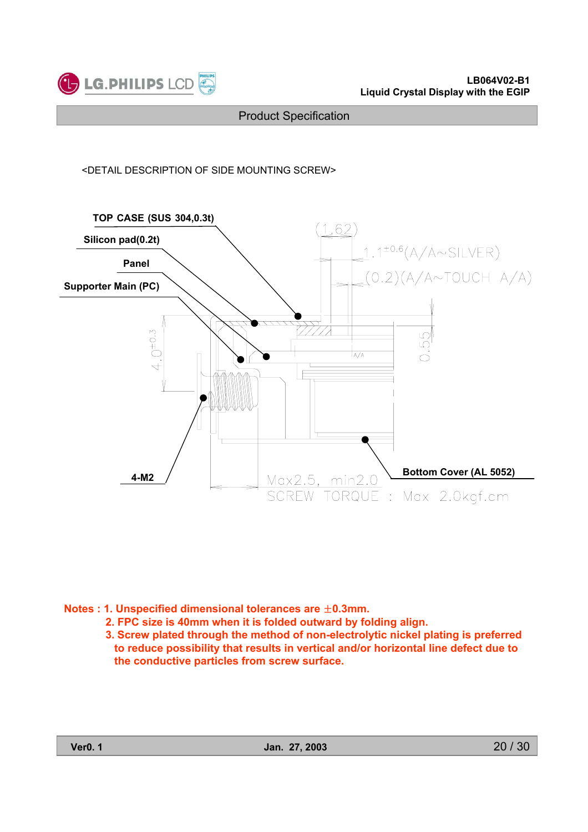

#### <DETAIL DESCRIPTION OF SIDE MOUNTING SCREW>



**Notes : 1. Unspecified dimensional tolerances are**  $\pm$ **0.3mm.** 

**2. FPC size is 40mm when it is folded outward by folding align.**

**3. Screw plated through the method of non-electrolytic nickel plating is preferred to reduce possibility that results in vertical and/or horizontal line defect due to the conductive particles from screw surface.**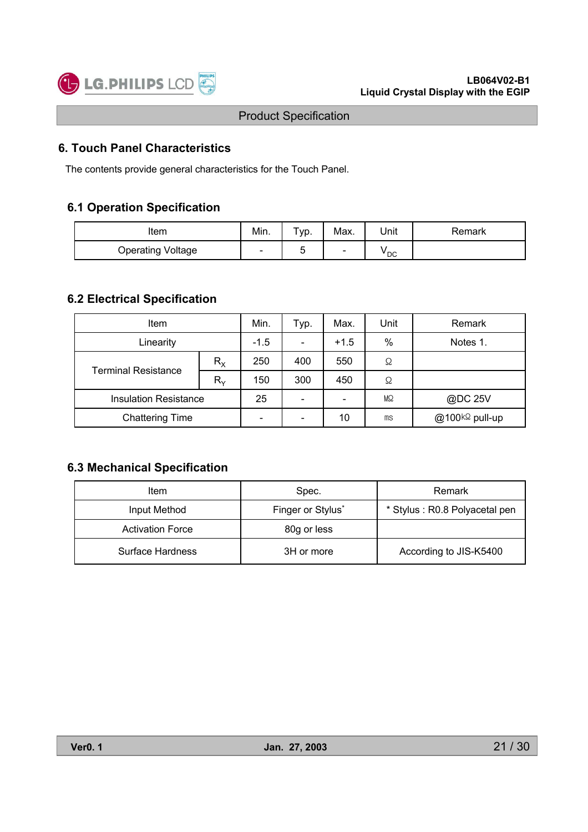

### **6. Touch Panel Characteristics**

The contents provide general characteristics for the Touch Panel.

### **6.1 Operation Specification**

| Item                     | Min. | $\tau_{\text{VP}}$ . | Max.                     | Unit            | Remark |
|--------------------------|------|----------------------|--------------------------|-----------------|--------|
| <b>Operating Voltage</b> | -    | -<br>w               | $\overline{\phantom{a}}$ | <sup>v</sup> DC |        |

### **6.2 Electrical Specification**

| <b>Item</b>                  |             | Min.                         | Typ.                     | Max. | Unit                       | Remark |
|------------------------------|-------------|------------------------------|--------------------------|------|----------------------------|--------|
| Linearity                    | $-1.5$      | $\qquad \qquad \blacksquare$ | $+1.5$                   | %    | Notes 1.                   |        |
| <b>Terminal Resistance</b>   | $R_{\rm X}$ | 250                          | 400                      | 550  | Ω                          |        |
|                              | $R_{\rm v}$ | 150                          | 300                      | 450  | Ω                          |        |
| <b>Insulation Resistance</b> | 25          |                              | $\overline{\phantom{0}}$ | MΩ   | @DC 25V                    |        |
| <b>Chattering Time</b>       | -           | $\qquad \qquad \blacksquare$ | 10                       | ms   | @100k <sup>Ω</sup> pull-up |        |

### **6.3 Mechanical Specification**

| Item                    | Spec.             | Remark                        |  |  |
|-------------------------|-------------------|-------------------------------|--|--|
| Input Method            | Finger or Stylus* | * Stylus: R0.8 Polyacetal pen |  |  |
| <b>Activation Force</b> | 80g or less       |                               |  |  |
| Surface Hardness        | 3H or more        | According to JIS-K5400        |  |  |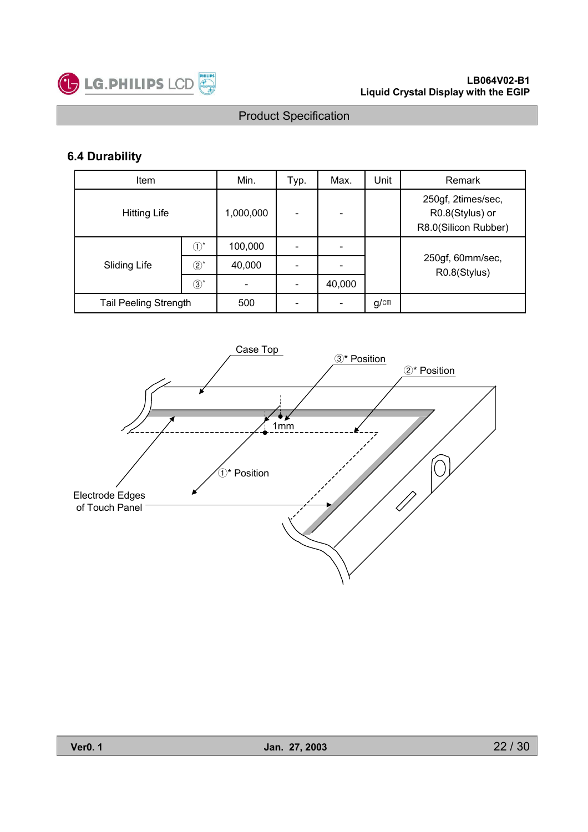

# **6.4 Durability**

| <b>Item</b>                  |                              | Min.    | Typ. | Max.   | Unit                                                          | Remark                           |  |  |
|------------------------------|------------------------------|---------|------|--------|---------------------------------------------------------------|----------------------------------|--|--|
| <b>Hitting Life</b>          | 1,000,000                    |         |      |        | 250gf, 2times/sec,<br>R0.8(Stylus) or<br>R8.0(Silicon Rubber) |                                  |  |  |
|                              | $\left( \overline{1}\right)$ | 100,000 |      |        |                                                               |                                  |  |  |
| Sliding Life                 | $\textcircled{2}^{\star}$    | 40,000  |      |        |                                                               | 250gf, 60mm/sec,<br>R0.8(Stylus) |  |  |
|                              | $\circled{3}^*$              |         |      | 40,000 |                                                               |                                  |  |  |
| <b>Tail Peeling Strength</b> |                              | 500     |      |        | g/cm                                                          |                                  |  |  |

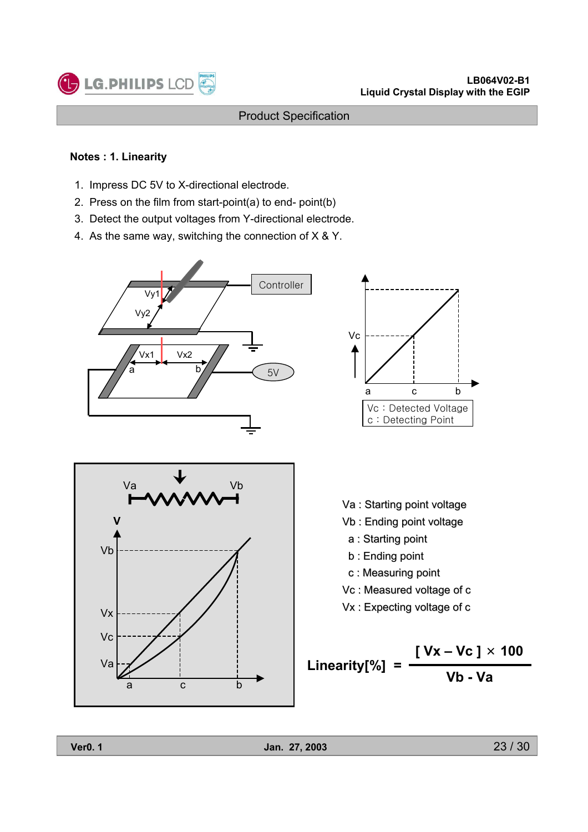

#### **Notes : 1. Linearity**

LG.PHILIPS LCD

- 1. Impress DC 5V to X-directional electrode.
- 2. Press on the film from start-point(a) to end- point(b)
- 3. Detect the output voltages from Y-directional electrode.
- 4. As the same way, switching the connection of X & Y.







- Va : Starting point voltage
- Vb : Ending point voltage
	- a : Starting point
- b : Ending point
- c : Measuring point
- Vc : Measured voltage of c
- Vx : Expecting voltage of c

**Linearity[%] =**   $\frac{[ \text{Vx} - \text{Vc} ] \times 100}{[ \text{Vb} ]}$ **Vb - Va**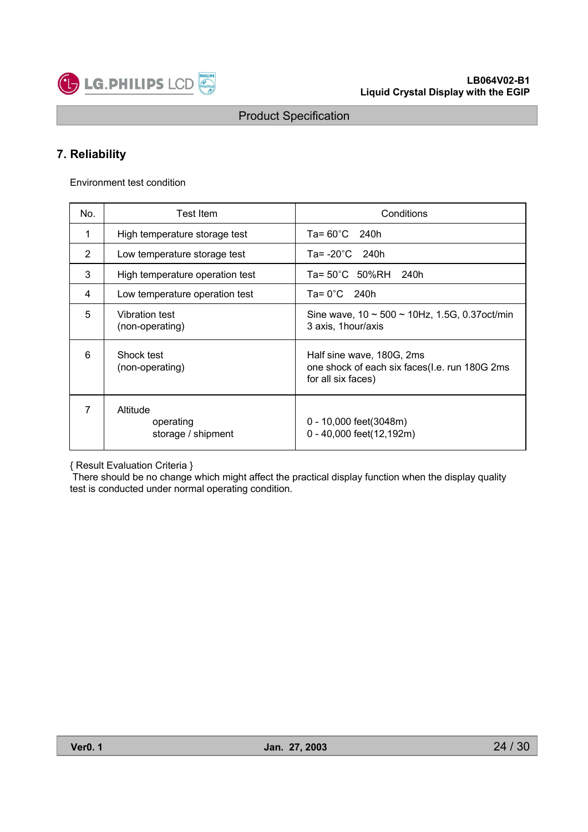

### **7. Reliability**

Environment test condition

| No.            | Test Item                                   | Conditions                                                                                       |
|----------------|---------------------------------------------|--------------------------------------------------------------------------------------------------|
| 1              | High temperature storage test               | $Ta = 60^{\circ}C$ 240h                                                                          |
| $\overline{2}$ | Low temperature storage test                | Ta= $-20^{\circ}$ C 240h                                                                         |
| 3              | High temperature operation test             | Ta= 50°C 50%RH 240h                                                                              |
| 4              | Low temperature operation test              | Ta= $0^{\circ}$ C 240h                                                                           |
| 5              | Vibration test<br>(non-operating)           | Sine wave, $10 \sim 500 \sim 10$ Hz, 1.5G, 0.37 oct/min<br>3 axis, 1 hour/axis                   |
| 6              | Shock test<br>(non-operating)               | Half sine wave, 180G, 2ms<br>one shock of each six faces(l.e. run 180G 2ms<br>for all six faces) |
| 7              | Altitude<br>operating<br>storage / shipment | 0 - 10,000 feet(3048m)<br>0 - 40,000 feet(12,192m)                                               |

#### { Result Evaluation Criteria }

There should be no change which might affect the practical display function when the display quality test is conducted under normal operating condition.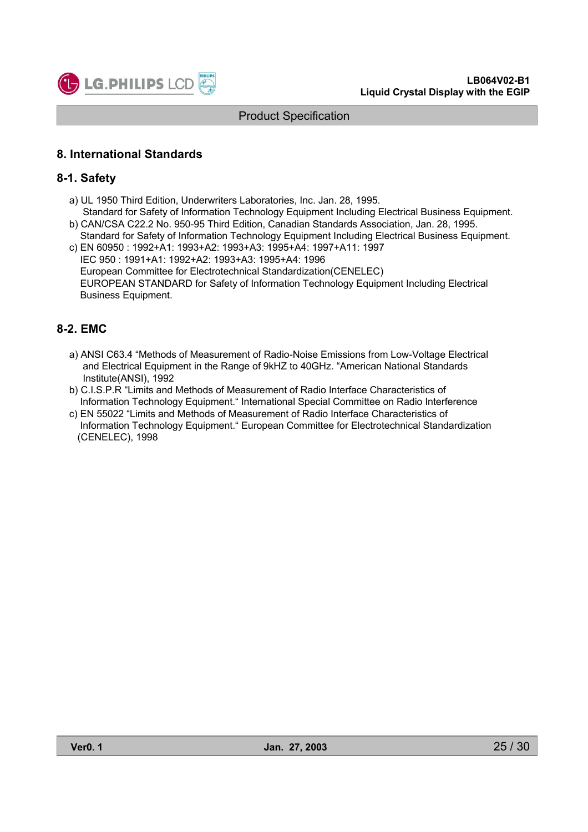

### **8. International Standards**

#### **8-1. Safety**

- a) UL 1950 Third Edition, Underwriters Laboratories, Inc. Jan. 28, 1995. Standard for Safety of Information Technology Equipment Including Electrical Business Equipment.
- b) CAN/CSA C22.2 No. 950-95 Third Edition, Canadian Standards Association, Jan. 28, 1995. Standard for Safety of Information Technology Equipment Including Electrical Business Equipment.
- c) EN 60950 : 1992+A1: 1993+A2: 1993+A3: 1995+A4: 1997+A11: 1997 IEC 950 : 1991+A1: 1992+A2: 1993+A3: 1995+A4: 1996 European Committee for Electrotechnical Standardization(CENELEC) EUROPEAN STANDARD for Safety of Information Technology Equipment Including Electrical Business Equipment.

### **8-2. EMC**

- a) ANSI C63.4 "Methods of Measurement of Radio-Noise Emissions from Low-Voltage Electrical and Electrical Equipment in the Range of 9kHZ to 40GHz. "American National Standards Institute(ANSI), 1992
- b) C.I.S.P.R "Limits and Methods of Measurement of Radio Interface Characteristics of Information Technology Equipment." International Special Committee on Radio Interference
- c) EN 55022 "Limits and Methods of Measurement of Radio Interface Characteristics of Information Technology Equipment." European Committee for Electrotechnical Standardization (CENELEC), 1998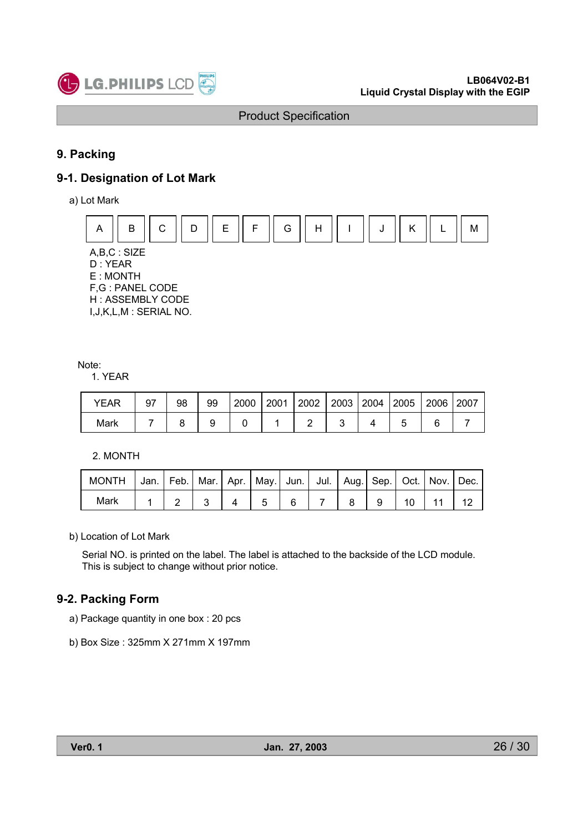

# **9. Packing**

### **9-1. Designation of Lot Mark**

a) Lot Mark



#### Note:

1. YEAR

| <b>YEAR</b> | 97 | 98 | 99 | 2000 | $\vert$ 2001 $\vert$ 2002 $\vert$ 2003 $\vert$ 2004 $\vert$ 2005 |  | 2006 2007 |  |
|-------------|----|----|----|------|------------------------------------------------------------------|--|-----------|--|
| Mark        |    |    |    |      |                                                                  |  |           |  |

2. MONTH

| MONTH   Jan.   Feb.   Mar.   Apr.   May.   Jun.   Jul.   Aug.   Sep.   Oct.   Nov.   Dec. |  |  |  |  |  |              |  |
|-------------------------------------------------------------------------------------------|--|--|--|--|--|--------------|--|
| Mark                                                                                      |  |  |  |  |  | $10 \mid 11$ |  |

b) Location of Lot Mark

Serial NO. is printed on the label. The label is attached to the backside of the LCD module. This is subject to change without prior notice.

#### **9-2. Packing Form**

a) Package quantity in one box : 20 pcs

b) Box Size : 325mm X 271mm X 197mm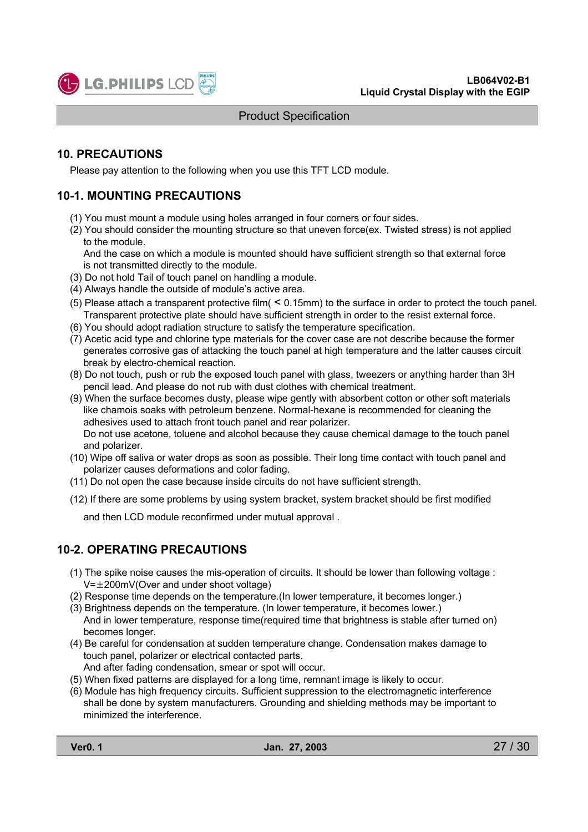

### **10. PRECAUTIONS**

Please pay attention to the following when you use this TFT LCD module.

### **10-1. MOUNTING PRECAUTIONS**

- (1) You must mount a module using holes arranged in four corners or four sides.
- (2) You should consider the mounting structure so that uneven force(ex. Twisted stress) is not applied to the module.

And the case on which a module is mounted should have sufficient strength so that external force is not transmitted directly to the module.

- (3) Do not hold Tail of touch panel on handling a module.
- (4) Always handle the outside of module's active area.
- (5) Please attach a transparent protective film( < 0.15mm) to the surface in order to protect the touch panel. Transparent protective plate should have sufficient strength in order to the resist external force.
- (6) You should adopt radiation structure to satisfy the temperature specification.
- (7) Acetic acid type and chlorine type materials for the cover case are not describe because the former generates corrosive gas of attacking the touch panel at high temperature and the latter causes circuit break by electro-chemical reaction.
- (8) Do not touch, push or rub the exposed touch panel with glass, tweezers or anything harder than 3H pencil lead. And please do not rub with dust clothes with chemical treatment.
- (9) When the surface becomes dusty, please wipe gently with absorbent cotton or other soft materials like chamois soaks with petroleum benzene. Normal-hexane is recommended for cleaning the adhesives used to attach front touch panel and rear polarizer.

Do not use acetone, toluene and alcohol because they cause chemical damage to the touch panel and polarizer.

- (10) Wipe off saliva or water drops as soon as possible. Their long time contact with touch panel and polarizer causes deformations and color fading.
- (11) Do not open the case because inside circuits do not have sufficient strength.
- (12) If there are some problems by using system bracket, system bracket should be first modified

and then LCD module reconfirmed under mutual approval .

### **10-2. OPERATING PRECAUTIONS**

- (1) The spike noise causes the mis-operation of circuits. It should be lower than following voltage :  $V=\pm 200$ mV(Over and under shoot voltage)
- (2) Response time depends on the temperature.(In lower temperature, it becomes longer.)
- (3) Brightness depends on the temperature. (In lower temperature, it becomes lower.) And in lower temperature, response time(required time that brightness is stable after turned on) becomes longer.
- (4) Be careful for condensation at sudden temperature change. Condensation makes damage to touch panel, polarizer or electrical contacted parts.
	- And after fading condensation, smear or spot will occur.
- (5) When fixed patterns are displayed for a long time, remnant image is likely to occur.
- (6) Module has high frequency circuits. Sufficient suppression to the electromagnetic interference shall be done by system manufacturers. Grounding and shielding methods may be important to minimized the interference.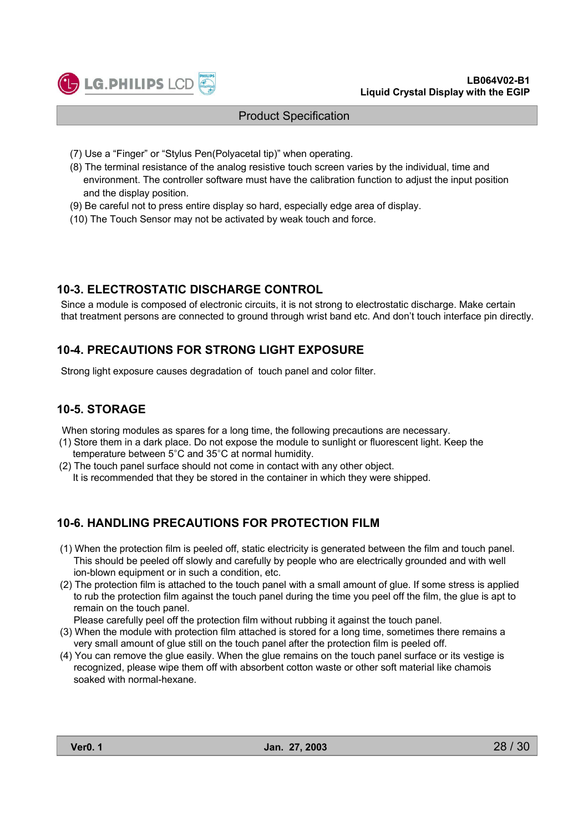

- (7) Use a "Finger" or "Stylus Pen(Polyacetal tip)" when operating.
- (8) The terminal resistance of the analog resistive touch screen varies by the individual, time and environment. The controller software must have the calibration function to adjust the input position and the display position.
- (9) Be careful not to press entire display so hard, especially edge area of display.
- (10) The Touch Sensor may not be activated by weak touch and force.

#### **10-3. ELECTROSTATIC DISCHARGE CONTROL**

Since a module is composed of electronic circuits, it is not strong to electrostatic discharge. Make certain that treatment persons are connected to ground through wrist band etc. And don't touch interface pin directly.

### **10-4. PRECAUTIONS FOR STRONG LIGHT EXPOSURE**

Strong light exposure causes degradation of touch panel and color filter.

### **10-5. STORAGE**

When storing modules as spares for a long time, the following precautions are necessary.

- (1) Store them in a dark place. Do not expose the module to sunlight or fluorescent light. Keep the temperature between 5°C and 35°C at normal humidity.
- (2) The touch panel surface should not come in contact with any other object. It is recommended that they be stored in the container in which they were shipped.

### **10-6. HANDLING PRECAUTIONS FOR PROTECTION FILM**

- (1) When the protection film is peeled off, static electricity is generated between the film and touch panel. This should be peeled off slowly and carefully by people who are electrically grounded and with well ion-blown equipment or in such a condition, etc.
- (2) The protection film is attached to the touch panel with a small amount of glue. If some stress is applied to rub the protection film against the touch panel during the time you peel off the film, the glue is apt to remain on the touch panel.

Please carefully peel off the protection film without rubbing it against the touch panel.

- (3) When the module with protection film attached is stored for a long time, sometimes there remains a very small amount of glue still on the touch panel after the protection film is peeled off.
- (4) You can remove the glue easily. When the glue remains on the touch panel surface or its vestige is recognized, please wipe them off with absorbent cotton waste or other soft material like chamois soaked with normal-hexane.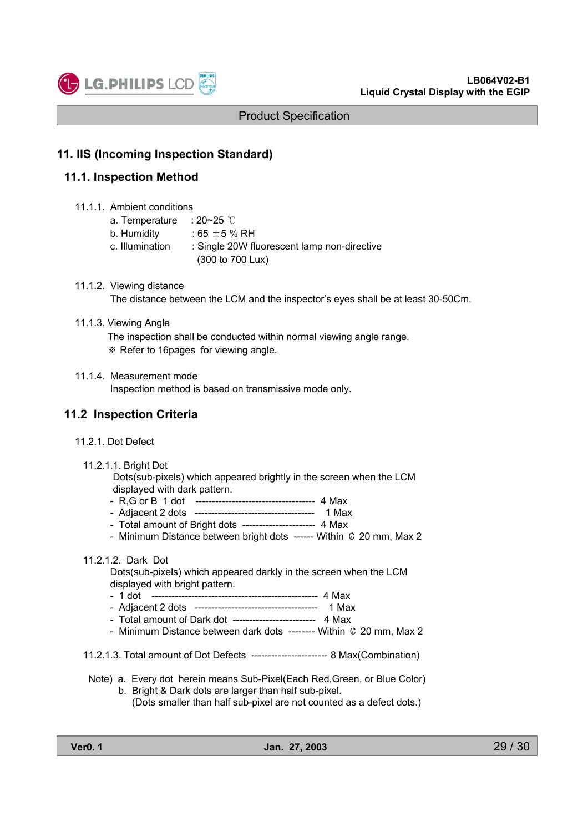

#### **11. IIS (Incoming Inspection Standard)**

#### **11.1. Inspection Method**

11.1.1. Ambient conditions

| a. Temperature  | ∷ 20~25 ℃                                   |
|-----------------|---------------------------------------------|
| b. Humidity     | $:$ 65 $\pm$ 5 % RH                         |
| c. Illumination | : Single 20W fluorescent lamp non-directive |
|                 | (300 to 700 Lux)                            |

11.1.2. Viewing distance The distance between the LCM and the inspector's eyes shall be at least 30-50Cm.

#### 11.1.3. Viewing Angle

The inspection shall be conducted within normal viewing angle range. **Example Refer to 16 pages for viewing angle.** 

#### 11.1.4. Measurement mode

Inspection method is based on transmissive mode only.

#### **11.2 Inspection Criteria**

- 11.2.1. Dot Defect
	- 11.2.1.1. Bright Dot

Dots(sub-pixels) which appeared brightly in the screen when the LCM displayed with dark pattern.

- R,G or B 1 dot ------------------------------------ 4 Max
- Adjacent 2 dots ------------------------------------ 1 Max
- Total amount of Bright dots ---------------------- 4 Max
- Minimum Distance between bright dots ------ Within  $C$  20 mm, Max 2

#### 11.2.1.2. Dark Dot

Dots(sub-pixels) which appeared darkly in the screen when the LCM displayed with bright pattern.

- 1 dot -------------------------------------------------- 4 Max
- Adjacent 2 dots ------------------------------------- 1 Max
- Total amount of Dark dot ------------------------- 4 Max
- Minimum Distance between dark dots -------- Within  $C$  20 mm, Max 2
- 11.2.1.3. Total amount of Dot Defects ----------------------- 8 Max(Combination)
- Note) a. Every dot herein means Sub-Pixel(Each Red,Green, or Blue Color) b. Bright & Dark dots are larger than half sub-pixel.
	- (Dots smaller than half sub-pixel are not counted as a defect dots.)